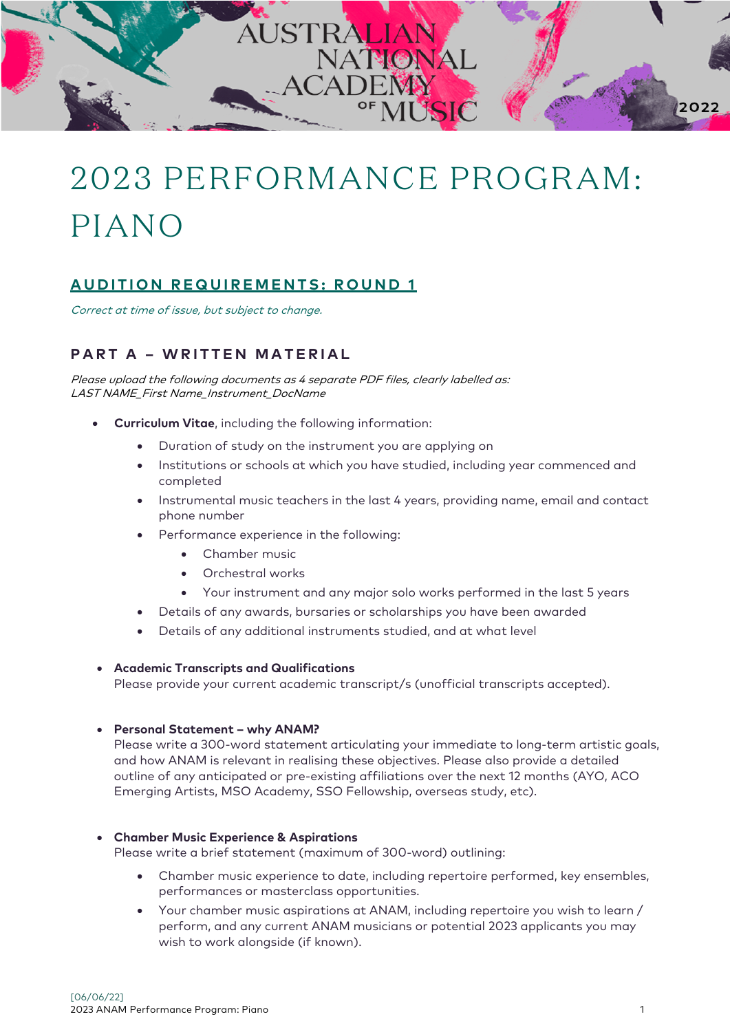

# 2023 PERFORMANCE PROGRAM: PIANO

## **AUDITION REQUIREMENTS: ROUND 1**

Correct at time of issue, but subject to change.

## **PART A – WRITTEN MATERIAL**

Please upload the following documents as 4 separate PDF files, clearly labelled as: LAST NAME\_First Name\_Instrument\_DocName

- **Curriculum Vitae**, including the following information:
	- Duration of study on the instrument you are applying on
	- Institutions or schools at which you have studied, including year commenced and completed
	- Instrumental music teachers in the last 4 years, providing name, email and contact phone number
	- Performance experience in the following:
		- Chamber music
		- Orchestral works
		- Your instrument and any major solo works performed in the last 5 years
	- Details of any awards, bursaries or scholarships you have been awarded
	- Details of any additional instruments studied, and at what level

#### • **Academic Transcripts and Qualifications**

Please provide your current academic transcript/s (unofficial transcripts accepted).

#### • **Personal Statement – why ANAM?**

Please write a 300-word statement articulating your immediate to long-term artistic goals, and how ANAM is relevant in realising these objectives. Please also provide a detailed outline of any anticipated or pre-existing affiliations over the next 12 months (AYO, ACO Emerging Artists, MSO Academy, SSO Fellowship, overseas study, etc).

#### • **Chamber Music Experience & Aspirations**

Please write a brief statement (maximum of 300-word) outlining:

- Chamber music experience to date, including repertoire performed, key ensembles, performances or masterclass opportunities.
- Your chamber music aspirations at ANAM, including repertoire you wish to learn / perform, and any current ANAM musicians or potential 2023 applicants you may wish to work alongside (if known).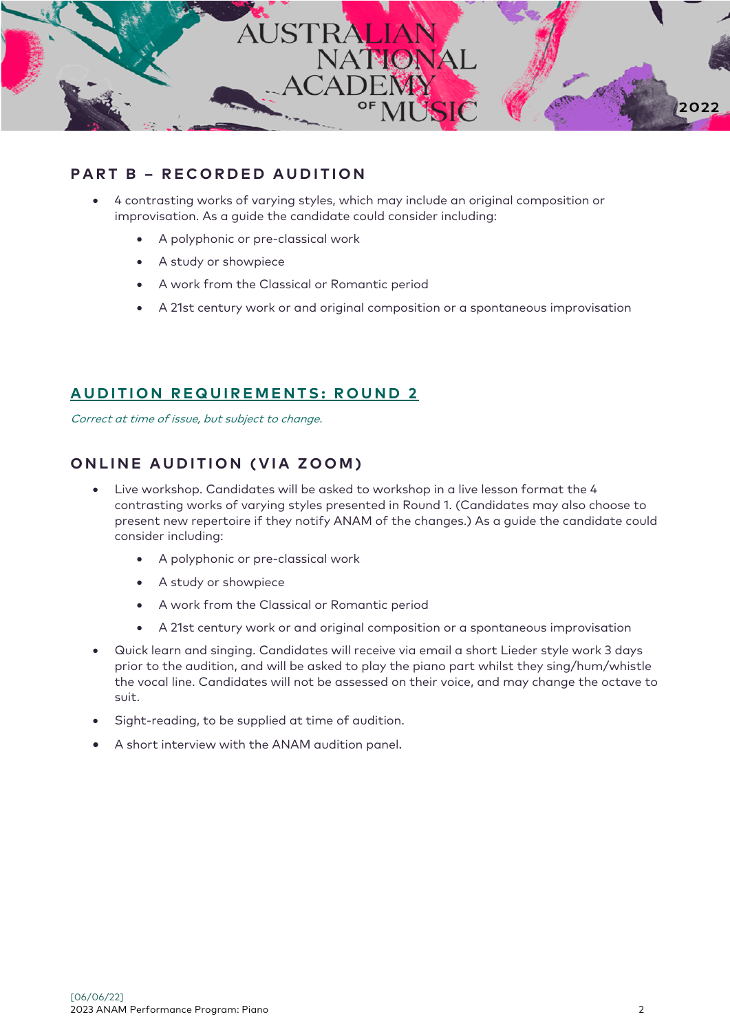

## **PART B – RECORDED AUDITION**

- 4 contrasting works of varying styles, which may include an original composition or improvisation. As a guide the candidate could consider including:
	- A polyphonic or pre-classical work
	- A study or showpiece
	- A work from the Classical or Romantic period
	- A 21st century work or and original composition or a spontaneous improvisation

#### **A UDITION REQUIREMENTS: ROUND 2**

Correct at time of issue, but subject to change.

## **ONLINE AUDITION (VIA ZOOM)**

- Live workshop. Candidates will be asked to workshop in a live lesson format the 4 contrasting works of varying styles presented in Round 1. (Candidates may also choose to present new repertoire if they notify ANAM of the changes.) As a guide the candidate could consider including:
	- A polyphonic or pre-classical work
	- A study or showpiece
	- A work from the Classical or Romantic period
	- A 21st century work or and original composition or a spontaneous improvisation
- Quick learn and singing. Candidates will receive via email a short Lieder style work 3 days prior to the audition, and will be asked to play the piano part whilst they sing/hum/whistle the vocal line. Candidates will not be assessed on their voice, and may change the octave to suit.
- Sight-reading, to be supplied at time of audition.
- A short interview with the ANAM audition panel.